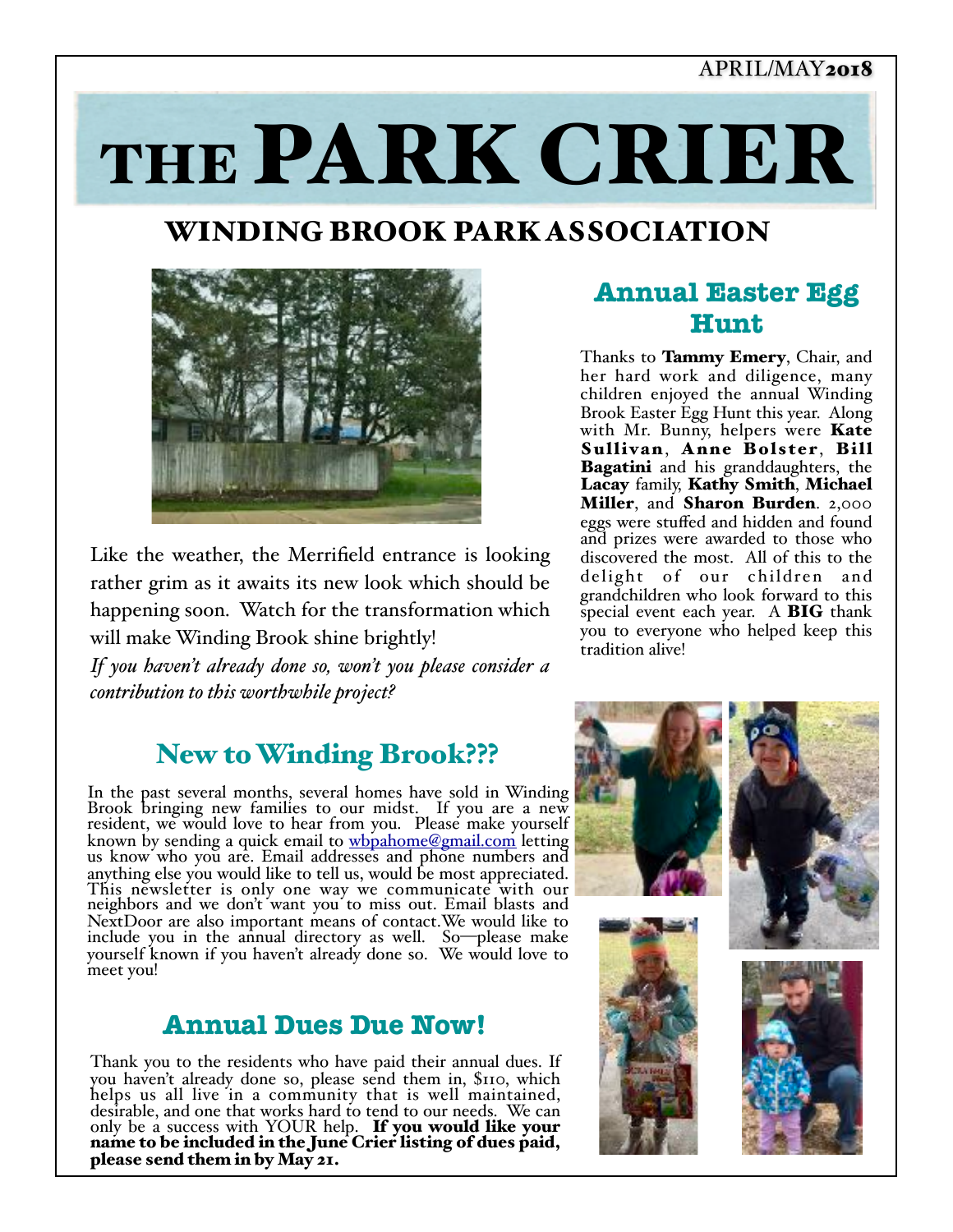## APRIL/MAY2018

# THE PARK CRIER

# WINDING BROOK PARK ASSOCIATION



Like the weather, the Merrifield entrance is looking rather grim as it awaits its new look which should be happening soon. Watch for the transformation which will make Winding Brook shine brightly!

*If you haven't already done so, won't you please consider a contribution to this worthwhile project?*

## New to Winding Brook???

In the past several months, several homes have sold in Winding Brook bringing new families to our midst. If you are a new resident, we would love to hear from you. Please make yourself known by sending a quick email to [wbpahome@gmail.com](mailto:wbpahome@gmail.com) letting us know who you are. Email addr[esses and phone numbe](mailto:wbpahome@gmail.com)rs and anything else you would like to tell us, would be most appreciated. This newsletter is only one way we communicate with our neighbors and we don't want you to miss out. Email blasts and NextDoor are also important means of contact.We would like to include you in the annual directory as well. So—please make yourself known if you haven't already done so. We would love to meet you!

## **Annual Dues Due Now!**

Thank you to the residents who have paid their annual dues. If you haven't already done so, please send them in,  $\text{SIO}$ , which helps us all live in a community that is well maintained, desirable, and one that works hard to tend to our needs. We can only be a success with YOUR help. If you would like your name to be included in the June Crier listing of dues paid, please send them in by May 21.

## **Annual Easter Egg Hunt**

Thanks to **Tammy Emery**, Chair, and her hard work and diligence, many children enjoyed the annual Winding Brook Easter Egg Hunt this year. Along with Mr. Bunny, helpers were **Kate** Sullivan, Anne Bolster, Bill **Bagatini** and his granddaughters, the Lacay family, Kathy Smith, Michael Miller, and Sharon Burden. 2,000 eggs were stuffed and hidden and found and prizes were awarded to those who discovered the most. All of this to the delight of our children and grandchildren who look forward to this special event each year. A BIG thank you to everyone who helped keep this tradition alive!

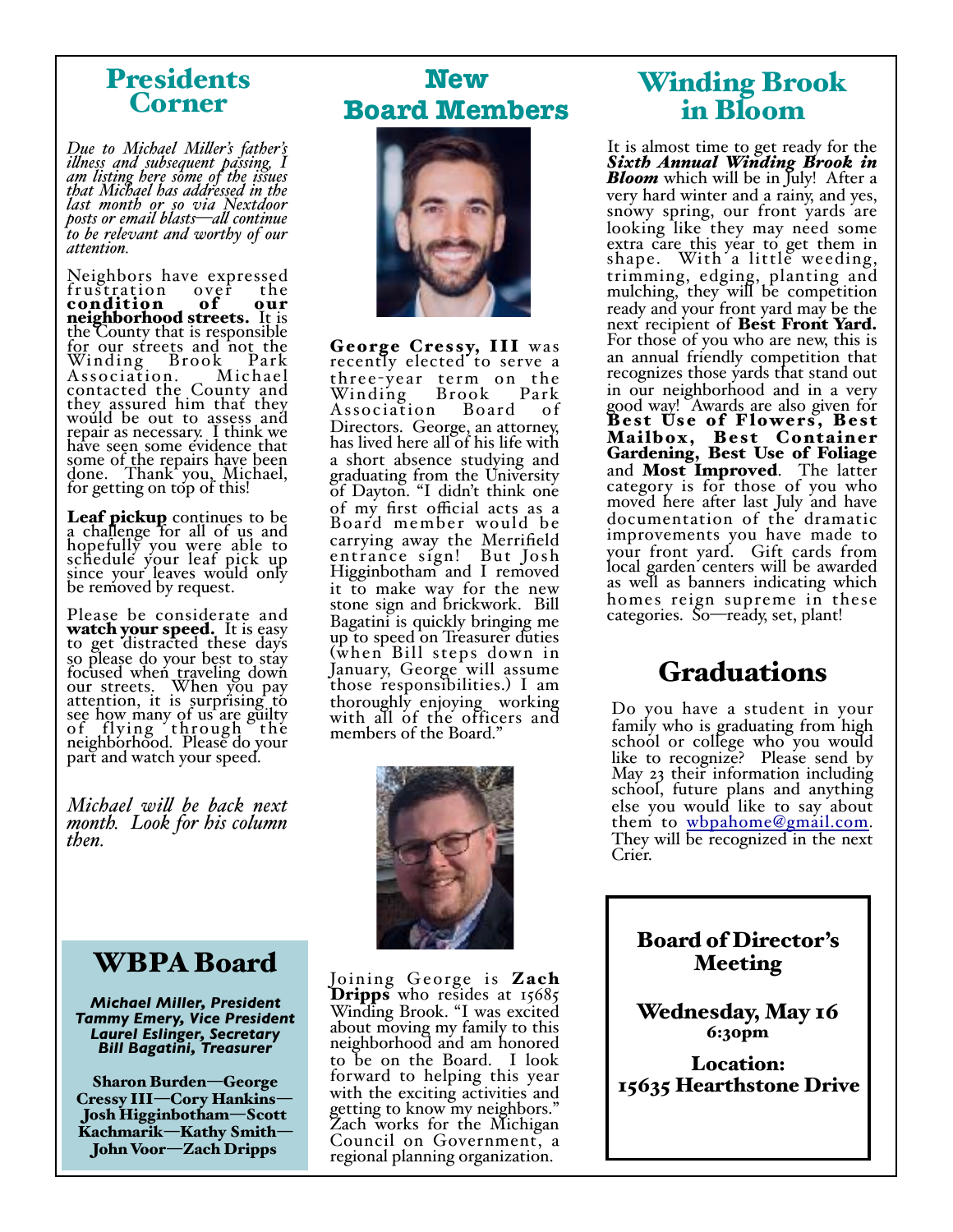## Presidents Corner

*Due to Michael Miler's father's ilness and subsequent passing, I am listing here some of the issues that Michael has addressed in the last month or so via Nextdoor posts or email blasts—al continue to be relevant and worthy of our attention.*

Neighbors have expressed<br>frustration over the frustration condition of our neighborhood streets. It is the County that is responsible for our streets and not the Winding Brook Park Association. Michael contacted the County and they assured him that they would be out to assess and repair as necessary. I think we have seen some evidence that some of the repairs have been done. Thank you, Michael, for getting on top of this!

Leaf pickup continues to be a challenge for all of us and hopefully you were able to schedule your leaf pick up since your leaves would only be removed by request.

Please be considerate and watch your speed. It is easy<br>to get distracted these days so please do your best to stay focused when traveling down our streets. When you pay attention, it is surprising to see how many of us are guilty of flying through the neighborhood. Please do your part and watch your speed.

*Michael wil be back next month. Look for his column then.*

# WBPA Board

*Michael Miller, President Tammy Emery, Vice President Laurel Eslinger, Secretary Bill Bagatini, Treasurer*

Sharon Burden—George Cressy III—Cory Hankins— Josh Higginbotham—Scott Kachmarik—Kathy Smith— John Voor—Zach Dripps

# **New Board Members**



George Cressy, III was recently elected to serve a three-year term on the<br>Winding Brook Park<br>Association Board of Association Directors. George, an attorney, has lived here all of his life with a short absence studying and graduating from the University of Dayton. "I didn't think one of my first official acts as a Board member would be carrying away the Merrifield entrance sign! But Josh Higginbotham and I removed it to make way for the new stone sign and brickwork. Bill Bagatini is quickly bringing me up to speed on Treasurer duties (when Bill steps down in January, George will assume those responsibilities.) I am thoroughly enjoying working with all of the officers and members of the Board."



Joining George is Zach **Dripps** who resides at 15685 Winding Brook. "I was excited about moving my family to this neighborhood and am honored to be on the Board. I look forward to helping this year with the exciting activities and getting to know my neighbors." Zach works for the Michigan Council on Government, a regional planning organization.

# Winding Brook in Bloom

It is almost time to get ready for the *Sixth Annual Winding Brook in*  **Bloom** which will be in July! After a very hard winter and a rainy, and yes, snowy spring, our front yards are looking like they may need some extra care this year to get them in shape. With a little weeding, trimming, edging, planting and mulching, they will be competition ready and your front yard may be the next recipient of Best Front Yard. For those of you who are new, this is an annual friendly competition that recognizes those yards that stand out in our neighborhood and in a very good way! Awards are also given for Best Use of Flowers, Best Mailbox, Best Container Gardening, Best Use of Foliage and Most Improved. The latter category is for those of you who moved here after last July and have documentation of the dramatic improvements you have made to your front yard. Gift cards from local garden centers will be awarded as well as banners indicating which homes reign supreme in these categories. So—ready, set, plant!

## Graduations

Do you have a student in your family who is graduating from high school or college who you would like to recognize? Please send by May 23 their information including school, future plans and anything else you would like to say about them to [wbpahome@gmail.com](mailto:wbpahome@gmail.com). They will be recognized in the next Crier.

Board of Director's Meeting

Wednesday, May 16 6:30pm

Location: 15635 Hearthstone Drive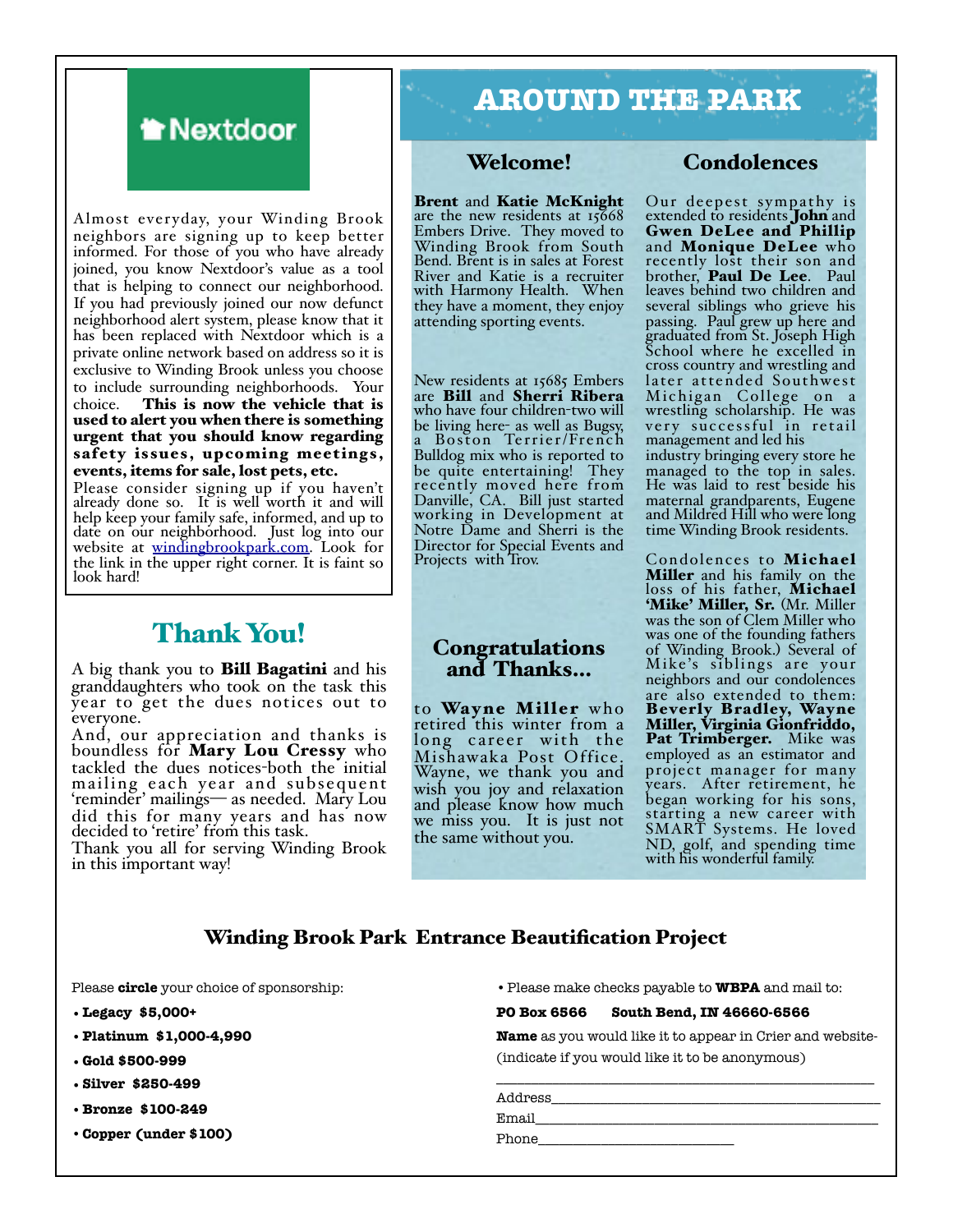

Almost everyday, your Winding Brook neighbors are signing up to keep better informed. For those of you who have already joined, you know Nextdoor's value as a tool that is helping to connect our neighborhood. If you had previously joined our now defunct neighborhood alert system, please know that it has been replaced with Nextdoor which is a private online network based on address so it is exclusive to Winding Brook unless you choose to include surrounding neighborhoods. Your<br>choice. This is now the vehicle that is This is now the vehicle that is used to alert you when there is something urgent that you should know regarding safety issues, upcoming meetings, events, items for sale, lost pets, etc.

Please consider signing up if you haven't already done so. It is well worth it and will help keep your family safe, informed, and up to date on our neighborhood. Just log into our website at <u>windingbrookpark.com</u>. Look for the link in the upper right corner. It is faint so look hard!

## Thank You!

A big thank you to Bill Bagatini and his granddaughters who took on the task this year to get the dues notices out to everyone.

And, our appreciation and thanks is boundless for Mary Lou Cressy who tackled the dues notices-both the initial mailing each year and subsequent 'reminder' mailings— as needed. Mary Lou did this for many years and has now decided to 'retire' from this task.

Thank you all for serving Winding Brook in this important way!

# **AROUND THE PARK**

#### Welcome!

Brent and Katie McKnight<br>are the new residents at 15668 Embers Drive. They moved to Winding Brook from South Bend. Brent is in sales at Forest River and Katie is a recruiter with Harmony Health. When they have a moment, they enjoy attending sporting events.

New residents at 15685 Embers are Bill and Sherri Ribera who have four children-two will be living here- as well as Bugsy, a Boston Terrier/French Bulldog mix who is reported to be quite entertaining! They recently moved here from Danville, CA. Bill just started working in Development at Notre Dame and Sherri is the Director for Special Events and Projects with Trov.

#### Congratulations and Thanks…

to Wayne Miller who retired this winter from a long career with the Mishawaka Post Office. Wayne, we thank you and wish you joy and relaxation and please know how much we miss you. It is just not the same without you.

#### **Condolences**

Our deepest sympathy is extended to residents **John** and Gwen DeLee and Phillip and Monique DeLee who recently lost their son and brother, **Paul De Lee**. Paul leaves behind two children and several siblings who grieve his passing. Paul grew up here and graduated from St. Joseph High School where he excelled in cross country and wrestling and later attended Southwest Michigan College on a wrestling scholarship. He was very successful in retail management and led his industry bringing every store he managed to the top in sales. He was laid to rest beside his maternal grandparents, Eugene and Mildred Hill who were long time Winding Brook residents.

Condolences to Michael Miller and his family on the loss of his father, Michael 'Mike' Miller, Sr. (Mr. Miller was the son of Clem Miller who was one of the founding fathers of Winding Brook.) Several of Mike's siblings are your neighbors and our condolences are also extended to them: Beverly Bradley, Wayne Miller, Virginia Gionfriddo, Pat Trimberger. Mike was employed as an estimator and project manager for many years. After retirement, he began working for his sons, starting a new career with SMART Systems. He loved ND, golf, and spending time with his wonderful family.

#### Winding Brook Park Entrance Beautification Project

Please **circle** your choice of sponsorship:

- **•Legacy \$5,000+**
- **•Platinum \$1,000-4,990**
- **•Gold \$500-999**
- **•Silver \$250-499**
- **•Bronze \$100-249**
- •**Copper (under \$100)**

•Please make checks payable to **WBPA** and mail to:

#### **PO Box 6566 South Bend, IN 46660-6566**

**Name** as you would like it to appear in Crier and website- (indicate if you would like it to be anonymous)

\_\_\_\_\_\_\_\_\_\_\_\_\_\_\_\_\_\_\_\_\_\_\_\_\_\_\_\_\_\_\_\_\_\_\_\_\_\_\_\_\_\_\_\_\_\_\_\_\_\_\_\_\_\_

Address\_\_\_\_\_\_\_\_\_\_\_\_\_\_\_\_\_\_\_\_\_\_\_\_\_\_\_\_\_\_\_\_\_\_\_\_\_\_\_\_\_\_\_\_\_\_\_

Email\_\_\_\_\_\_\_\_\_\_\_\_\_\_\_\_\_\_\_\_\_\_\_\_\_\_\_\_\_\_\_\_\_\_\_\_\_\_\_\_\_\_\_\_\_\_\_\_\_

Phone\_\_\_\_\_\_\_\_\_\_\_\_\_\_\_\_\_\_\_\_\_\_\_\_\_\_\_\_